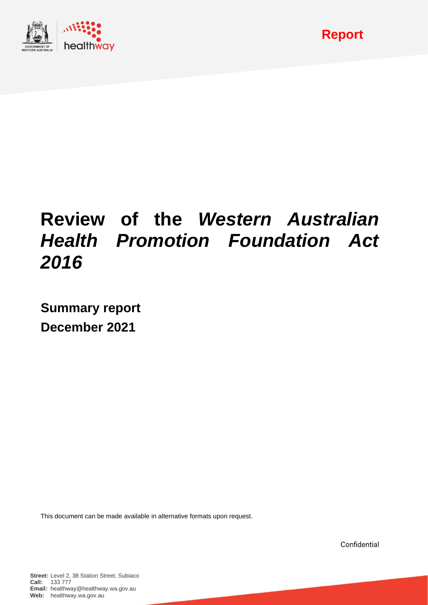

# **Review of the** *Western Australian Health Promotion Foundation Act 2016*

**Summary report December 2021**

This document can be made available in alternative formats upon request.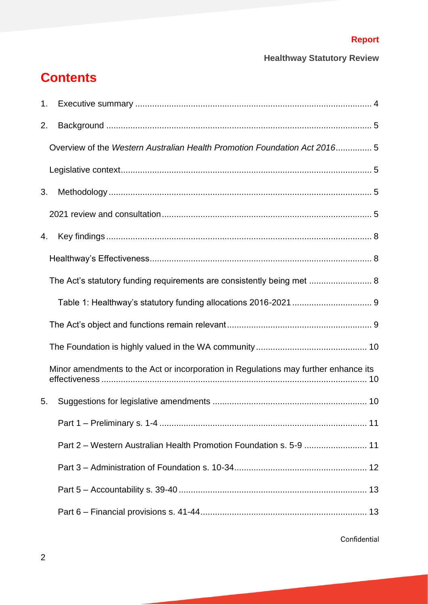## **Contents**

| 1. |                                                                                     |
|----|-------------------------------------------------------------------------------------|
| 2. |                                                                                     |
|    | Overview of the Western Australian Health Promotion Foundation Act 2016 5           |
|    |                                                                                     |
| 3. |                                                                                     |
|    |                                                                                     |
| 4. |                                                                                     |
|    |                                                                                     |
|    | The Act's statutory funding requirements are consistently being met  8              |
|    |                                                                                     |
|    |                                                                                     |
|    |                                                                                     |
|    | Minor amendments to the Act or incorporation in Regulations may further enhance its |
| 5. |                                                                                     |
|    |                                                                                     |
|    | Part 2 – Western Australian Health Promotion Foundation s. 5-9  11                  |
|    |                                                                                     |
|    |                                                                                     |
|    |                                                                                     |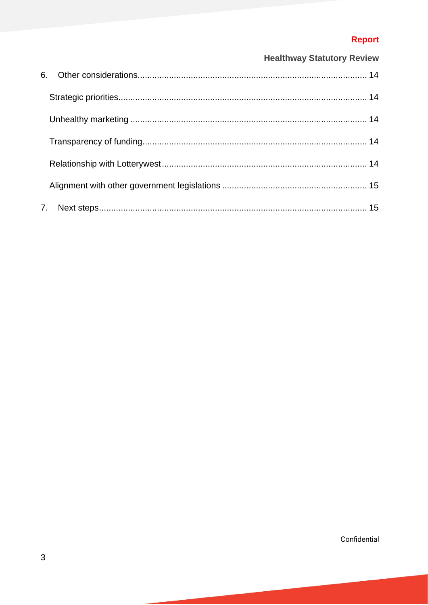### Report

### **Healthway Statutory Review**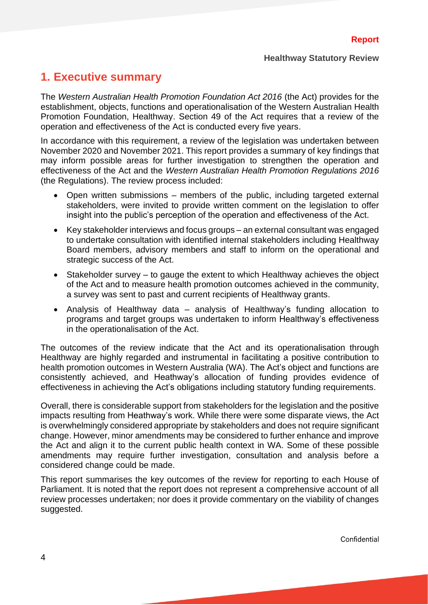### <span id="page-3-0"></span>**1. Executive summary**

The *Western Australian Health Promotion Foundation Act 2016* (the Act) provides for the establishment, objects, functions and operationalisation of the Western Australian Health Promotion Foundation, Healthway. Section 49 of the Act requires that a review of the operation and effectiveness of the Act is conducted every five years.

In accordance with this requirement, a review of the legislation was undertaken between November 2020 and November 2021. This report provides a summary of key findings that may inform possible areas for further investigation to strengthen the operation and effectiveness of the Act and the *Western Australian Health Promotion Regulations 2016* (the Regulations). The review process included:

- Open written submissions members of the public, including targeted external stakeholders, were invited to provide written comment on the legislation to offer insight into the public's perception of the operation and effectiveness of the Act.
- Key stakeholder interviews and focus groups an external consultant was engaged to undertake consultation with identified internal stakeholders including Healthway Board members, advisory members and staff to inform on the operational and strategic success of the Act.
- Stakeholder survey to gauge the extent to which Healthway achieves the object of the Act and to measure health promotion outcomes achieved in the community, a survey was sent to past and current recipients of Healthway grants.
- Analysis of Healthway data analysis of Healthway's funding allocation to programs and target groups was undertaken to inform Healthway's effectiveness in the operationalisation of the Act.

The outcomes of the review indicate that the Act and its operationalisation through Healthway are highly regarded and instrumental in facilitating a positive contribution to health promotion outcomes in Western Australia (WA). The Act's object and functions are consistently achieved, and Heathway's allocation of funding provides evidence of effectiveness in achieving the Act's obligations including statutory funding requirements.

Overall, there is considerable support from stakeholders for the legislation and the positive impacts resulting from Heathway's work. While there were some disparate views, the Act is overwhelmingly considered appropriate by stakeholders and does not require significant change. However, minor amendments may be considered to further enhance and improve the Act and align it to the current public health context in WA. Some of these possible amendments may require further investigation, consultation and analysis before a considered change could be made.

This report summarises the key outcomes of the review for reporting to each House of Parliament. It is noted that the report does not represent a comprehensive account of all review processes undertaken; nor does it provide commentary on the viability of changes suggested.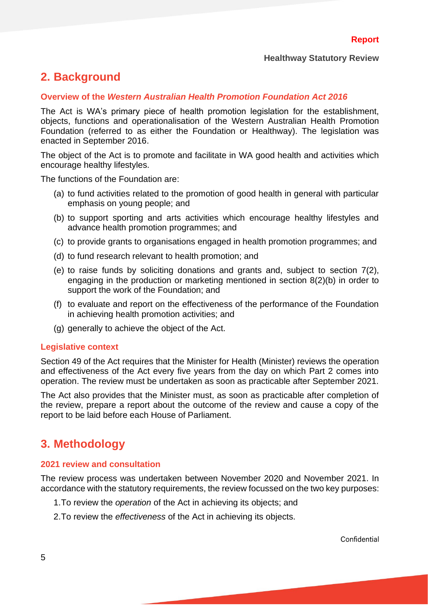### <span id="page-4-0"></span>**2. Background**

#### <span id="page-4-1"></span>**Overview of the** *Western Australian Health Promotion Foundation Act 2016*

The Act is WA's primary piece of health promotion legislation for the establishment, objects, functions and operationalisation of the Western Australian Health Promotion Foundation (referred to as either the Foundation or Healthway). The legislation was enacted in September 2016.

The object of the Act is to promote and facilitate in WA good health and activities which encourage healthy lifestyles.

The functions of the Foundation are:

- (a) to fund activities related to the promotion of good health in general with particular emphasis on young people; and
- (b) to support sporting and arts activities which encourage healthy lifestyles and advance health promotion programmes; and
- (c) to provide grants to organisations engaged in health promotion programmes; and
- (d) to fund research relevant to health promotion; and
- (e) to raise funds by soliciting donations and grants and, subject to section 7(2), engaging in the production or marketing mentioned in section 8(2)(b) in order to support the work of the Foundation; and
- (f) to evaluate and report on the effectiveness of the performance of the Foundation in achieving health promotion activities; and
- (g) generally to achieve the object of the Act.

#### <span id="page-4-2"></span>**Legislative context**

Section 49 of the Act requires that the Minister for Health (Minister) reviews the operation and effectiveness of the Act every five years from the day on which Part 2 comes into operation. The review must be undertaken as soon as practicable after September 2021.

The Act also provides that the Minister must, as soon as practicable after completion of the review, prepare a report about the outcome of the review and cause a copy of the report to be laid before each House of Parliament.

### <span id="page-4-3"></span>**3. Methodology**

#### <span id="page-4-4"></span>**2021 review and consultation**

The review process was undertaken between November 2020 and November 2021. In accordance with the statutory requirements, the review focussed on the two key purposes:

- 1.To review the *operation* of the Act in achieving its objects; and
- 2.To review the *effectiveness* of the Act in achieving its objects.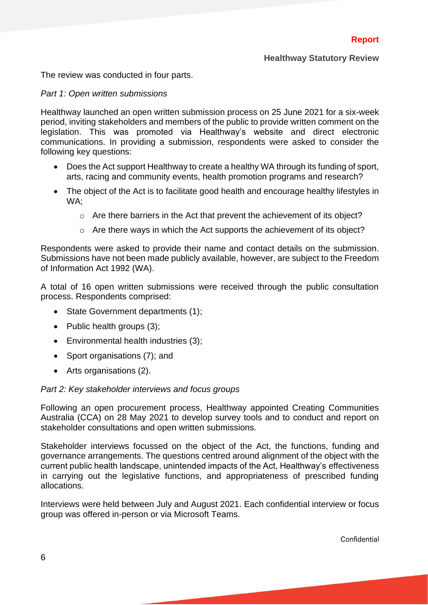The review was conducted in four parts.

#### *Part 1: Open written submissions*

Healthway launched an open written submission process on 25 June 2021 for a six-week period, inviting stakeholders and members of the public to provide written comment on the legislation. This was promoted via Healthway's website and direct electronic communications. In providing a submission, respondents were asked to consider the following key questions:

- Does the Act support Healthway to create a healthy WA through its funding of sport, arts, racing and community events, health promotion programs and research?
- The object of the Act is to facilitate good health and encourage healthy lifestyles in WA;
	- o Are there barriers in the Act that prevent the achievement of its object?
	- $\circ$  Are there ways in which the Act supports the achievement of its object?

Respondents were asked to provide their name and contact details on the submission. Submissions have not been made publicly available, however, are subject to the Freedom of Information Act 1992 (WA).

A total of 16 open written submissions were received through the public consultation process. Respondents comprised:

- State Government departments (1);
- Public health groups (3);
- Environmental health industries (3);
- Sport organisations (7); and
- Arts organisations (2).

#### *Part 2: Key stakeholder interviews and focus groups*

Following an open procurement process, Healthway appointed Creating Communities Australia (CCA) on 28 May 2021 to develop survey tools and to conduct and report on stakeholder consultations and open written submissions.

Stakeholder interviews focussed on the object of the Act, the functions, funding and governance arrangements. The questions centred around alignment of the object with the current public health landscape, unintended impacts of the Act, Healthway's effectiveness in carrying out the legislative functions, and appropriateness of prescribed funding allocations.

Interviews were held between July and August 2021. Each confidential interview or focus group was offered in-person or via Microsoft Teams.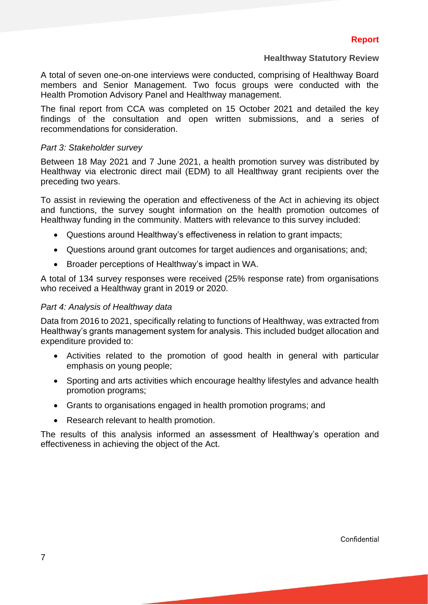A total of seven one-on-one interviews were conducted, comprising of Healthway Board members and Senior Management. Two focus groups were conducted with the Health Promotion Advisory Panel and Healthway management.

The final report from CCA was completed on 15 October 2021 and detailed the key findings of the consultation and open written submissions, and a series of recommendations for consideration.

#### *Part 3: Stakeholder survey*

Between 18 May 2021 and 7 June 2021, a health promotion survey was distributed by Healthway via electronic direct mail (EDM) to all Healthway grant recipients over the preceding two years.

To assist in reviewing the operation and effectiveness of the Act in achieving its object and functions, the survey sought information on the health promotion outcomes of Healthway funding in the community. Matters with relevance to this survey included:

- Questions around Healthway's effectiveness in relation to grant impacts;
- Questions around grant outcomes for target audiences and organisations; and;
- Broader perceptions of Healthway's impact in WA.

A total of 134 survey responses were received (25% response rate) from organisations who received a Healthway grant in 2019 or 2020.

#### *Part 4: Analysis of Healthway data*

Data from 2016 to 2021, specifically relating to functions of Healthway, was extracted from Healthway's grants management system for analysis. This included budget allocation and expenditure provided to:

- Activities related to the promotion of good health in general with particular emphasis on young people;
- Sporting and arts activities which encourage healthy lifestyles and advance health promotion programs;
- Grants to organisations engaged in health promotion programs; and
- Research relevant to health promotion.

<span id="page-6-0"></span>The results of this analysis informed an assessment of Healthway's operation and effectiveness in achieving the object of the Act.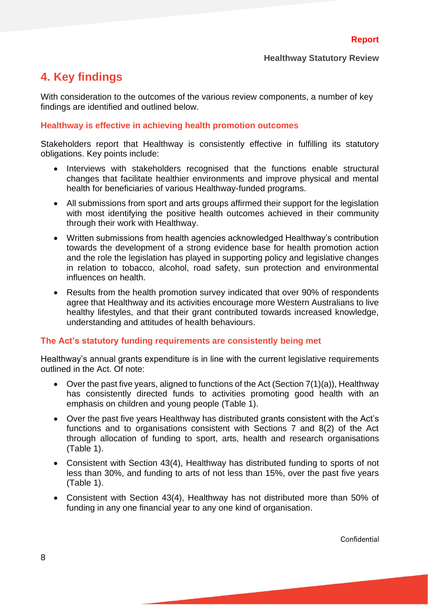### **4. Key findings**

With consideration to the outcomes of the various review components, a number of key findings are identified and outlined below.

#### <span id="page-7-0"></span>**Healthway is effective in achieving health promotion outcomes**

Stakeholders report that Healthway is consistently effective in fulfilling its statutory obligations. Key points include:

- Interviews with stakeholders recognised that the functions enable structural changes that facilitate healthier environments and improve physical and mental health for beneficiaries of various Healthway-funded programs.
- All submissions from sport and arts groups affirmed their support for the legislation with most identifying the positive health outcomes achieved in their community through their work with Healthway.
- Written submissions from health agencies acknowledged Healthway's contribution towards the development of a strong evidence base for health promotion action and the role the legislation has played in supporting policy and legislative changes in relation to tobacco, alcohol, road safety, sun protection and environmental influences on health.
- Results from the health promotion survey indicated that over 90% of respondents agree that Healthway and its activities encourage more Western Australians to live healthy lifestyles, and that their grant contributed towards increased knowledge, understanding and attitudes of health behaviours.

#### <span id="page-7-1"></span>**The Act's statutory funding requirements are consistently being met**

Healthway's annual grants expenditure is in line with the current legislative requirements outlined in the Act. Of note:

- Over the past five years, aligned to functions of the Act (Section 7(1)(a)), Healthway has consistently directed funds to activities promoting good health with an emphasis on children and young people (Table 1).
- Over the past five years Healthway has distributed grants consistent with the Act's functions and to organisations consistent with Sections 7 and 8(2) of the Act through allocation of funding to sport, arts, health and research organisations (Table 1).
- Consistent with Section 43(4), Healthway has distributed funding to sports of not less than 30%, and funding to arts of not less than 15%, over the past five years (Table 1).
- Consistent with Section 43(4), Healthway has not distributed more than 50% of funding in any one financial year to any one kind of organisation.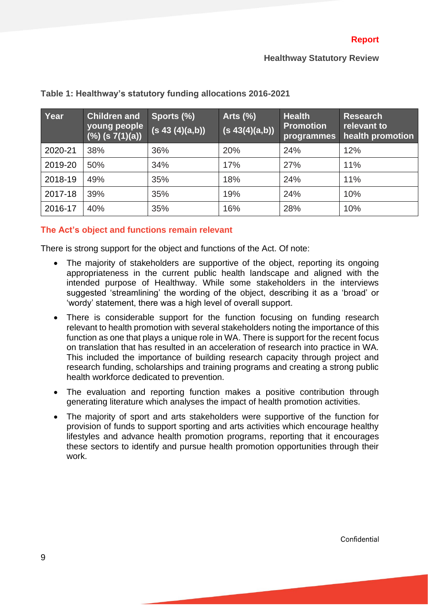| Year    | <b>Children and</b><br>young people<br>(%) (s 7(1)(a)) | Sports (%)<br>(s 43 (4)(a,b)) | Arts $(\%)$<br>(s 43(4)(a,b)) | <b>Health</b><br><b>Promotion</b><br>programmes | <b>Research</b><br>relevant to<br>health promotion |
|---------|--------------------------------------------------------|-------------------------------|-------------------------------|-------------------------------------------------|----------------------------------------------------|
| 2020-21 | 38%                                                    | 36%                           | 20%                           | 24%                                             | 12%                                                |
| 2019-20 | 50%                                                    | 34%                           | 17%                           | 27%                                             | 11%                                                |
| 2018-19 | 49%                                                    | 35%                           | 18%                           | 24%                                             | 11%                                                |
| 2017-18 | 39%                                                    | 35%                           | 19%                           | 24%                                             | 10%                                                |
| 2016-17 | 40%                                                    | 35%                           | 16%                           | 28%                                             | 10%                                                |

#### <span id="page-8-0"></span>**Table 1: Healthway's statutory funding allocations 2016-2021**

#### <span id="page-8-1"></span>**The Act's object and functions remain relevant**

There is strong support for the object and functions of the Act. Of note:

- The majority of stakeholders are supportive of the object, reporting its ongoing appropriateness in the current public health landscape and aligned with the intended purpose of Healthway. While some stakeholders in the interviews suggested 'streamlining' the wording of the object, describing it as a 'broad' or 'wordy' statement, there was a high level of overall support.
- There is considerable support for the function focusing on funding research relevant to health promotion with several stakeholders noting the importance of this function as one that plays a unique role in WA. There is support for the recent focus on translation that has resulted in an acceleration of research into practice in WA. This included the importance of building research capacity through project and research funding, scholarships and training programs and creating a strong public health workforce dedicated to prevention.
- The evaluation and reporting function makes a positive contribution through generating literature which analyses the impact of health promotion activities.
- <span id="page-8-2"></span>• The majority of sport and arts stakeholders were supportive of the function for provision of funds to support sporting and arts activities which encourage healthy lifestyles and advance health promotion programs, reporting that it encourages these sectors to identify and pursue health promotion opportunities through their work.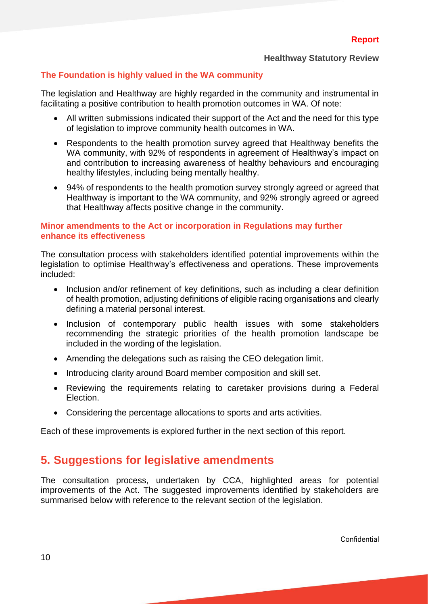#### **The Foundation is highly valued in the WA community**

The legislation and Healthway are highly regarded in the community and instrumental in facilitating a positive contribution to health promotion outcomes in WA. Of note:

- All written submissions indicated their support of the Act and the need for this type of legislation to improve community health outcomes in WA.
- Respondents to the health promotion survey agreed that Healthway benefits the WA community, with 92% of respondents in agreement of Healthway's impact on and contribution to increasing awareness of healthy behaviours and encouraging healthy lifestyles, including being mentally healthy.
- 94% of respondents to the health promotion survey strongly agreed or agreed that Healthway is important to the WA community, and 92% strongly agreed or agreed that Healthway affects positive change in the community.

#### <span id="page-9-0"></span>**Minor amendments to the Act or incorporation in Regulations may further enhance its effectiveness**

The consultation process with stakeholders identified potential improvements within the legislation to optimise Healthway's effectiveness and operations. These improvements included:

- Inclusion and/or refinement of key definitions, such as including a clear definition of health promotion, adjusting definitions of eligible racing organisations and clearly defining a material personal interest.
- Inclusion of contemporary public health issues with some stakeholders recommending the strategic priorities of the health promotion landscape be included in the wording of the legislation.
- Amending the delegations such as raising the CEO delegation limit.
- Introducing clarity around Board member composition and skill set.
- Reviewing the requirements relating to caretaker provisions during a Federal Election.
- Considering the percentage allocations to sports and arts activities.

<span id="page-9-1"></span>Each of these improvements is explored further in the next section of this report.

### **5. Suggestions for legislative amendments**

<span id="page-9-2"></span>The consultation process, undertaken by CCA, highlighted areas for potential improvements of the Act. The suggested improvements identified by stakeholders are summarised below with reference to the relevant section of the legislation.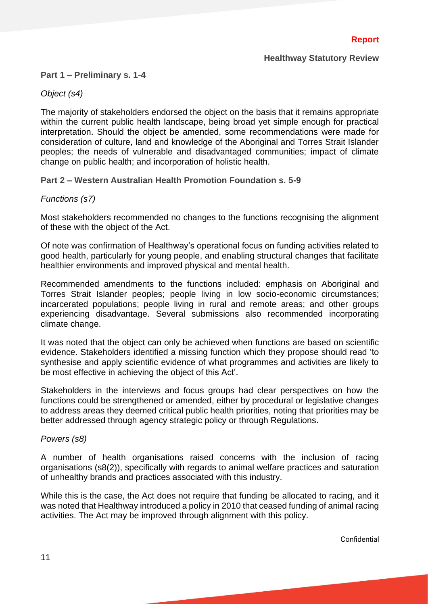#### **Part 1 – Preliminary s. 1-4**

#### *Object (s4)*

The majority of stakeholders endorsed the object on the basis that it remains appropriate within the current public health landscape, being broad yet simple enough for practical interpretation. Should the object be amended, some recommendations were made for consideration of culture, land and knowledge of the Aboriginal and Torres Strait Islander peoples; the needs of vulnerable and disadvantaged communities; impact of climate change on public health; and incorporation of holistic health.

#### <span id="page-10-0"></span>**Part 2 – Western Australian Health Promotion Foundation s. 5-9**

#### *Functions (s7)*

Most stakeholders recommended no changes to the functions recognising the alignment of these with the object of the Act.

Of note was confirmation of Healthway's operational focus on funding activities related to good health, particularly for young people, and enabling structural changes that facilitate healthier environments and improved physical and mental health.

Recommended amendments to the functions included: emphasis on Aboriginal and Torres Strait Islander peoples; people living in low socio-economic circumstances; incarcerated populations; people living in rural and remote areas; and other groups experiencing disadvantage. Several submissions also recommended incorporating climate change.

It was noted that the object can only be achieved when functions are based on scientific evidence. Stakeholders identified a missing function which they propose should read 'to synthesise and apply scientific evidence of what programmes and activities are likely to be most effective in achieving the object of this Act'.

Stakeholders in the interviews and focus groups had clear perspectives on how the functions could be strengthened or amended, either by procedural or legislative changes to address areas they deemed critical public health priorities, noting that priorities may be better addressed through agency strategic policy or through Regulations.

#### *Powers (s8)*

A number of health organisations raised concerns with the inclusion of racing organisations (s8(2)), specifically with regards to animal welfare practices and saturation of unhealthy brands and practices associated with this industry.

While this is the case, the Act does not require that funding be allocated to racing, and it was noted that Healthway introduced a policy in 2010 that ceased funding of animal racing activities. The Act may be improved through alignment with this policy.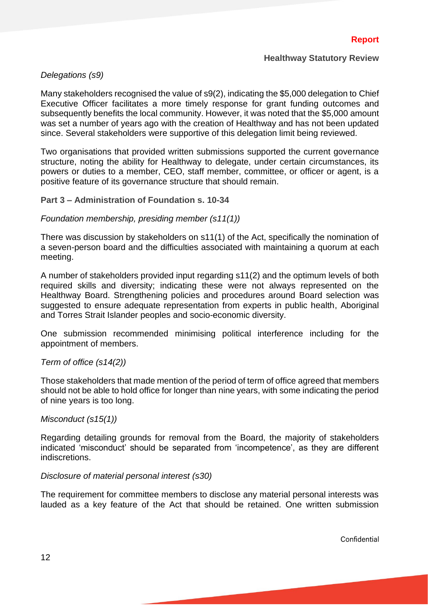#### *Delegations (s9)*

Many stakeholders recognised the value of s9(2), indicating the \$5,000 delegation to Chief Executive Officer facilitates a more timely response for grant funding outcomes and subsequently benefits the local community. However, it was noted that the \$5,000 amount was set a number of years ago with the creation of Healthway and has not been updated since. Several stakeholders were supportive of this delegation limit being reviewed.

Two organisations that provided written submissions supported the current governance structure, noting the ability for Healthway to delegate, under certain circumstances, its powers or duties to a member, CEO, staff member, committee, or officer or agent, is a positive feature of its governance structure that should remain.

#### <span id="page-11-0"></span>**Part 3 – Administration of Foundation s. 10-34**

#### *Foundation membership, presiding member (s11(1))*

There was discussion by stakeholders on s11(1) of the Act, specifically the nomination of a seven-person board and the difficulties associated with maintaining a quorum at each meeting.

A number of stakeholders provided input regarding s11(2) and the optimum levels of both required skills and diversity; indicating these were not always represented on the Healthway Board. Strengthening policies and procedures around Board selection was suggested to ensure adequate representation from experts in public health, Aboriginal and Torres Strait Islander peoples and socio-economic diversity.

One submission recommended minimising political interference including for the appointment of members.

#### *Term of office (s14(2))*

Those stakeholders that made mention of the period of term of office agreed that members should not be able to hold office for longer than nine years, with some indicating the period of nine years is too long.

#### *Misconduct (s15(1))*

Regarding detailing grounds for removal from the Board, the majority of stakeholders indicated 'misconduct' should be separated from 'incompetence', as they are different indiscretions.

#### *Disclosure of material personal interest (s30)*

The requirement for committee members to disclose any material personal interests was lauded as a key feature of the Act that should be retained. One written submission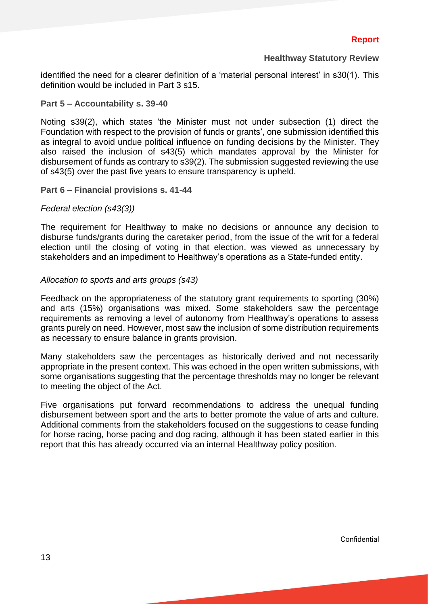identified the need for a clearer definition of a 'material personal interest' in s30(1). This definition would be included in Part 3 s15.

#### <span id="page-12-0"></span>**Part 5 – Accountability s. 39-40**

Noting s39(2), which states 'the Minister must not under subsection (1) direct the Foundation with respect to the provision of funds or grants', one submission identified this as integral to avoid undue political influence on funding decisions by the Minister. They also raised the inclusion of s43(5) which mandates approval by the Minister for disbursement of funds as contrary to s39(2). The submission suggested reviewing the use of s43(5) over the past five years to ensure transparency is upheld.

#### <span id="page-12-1"></span>**Part 6 – Financial provisions s. 41-44**

#### *Federal election (s43(3))*

The requirement for Healthway to make no decisions or announce any decision to disburse funds/grants during the caretaker period, from the issue of the writ for a federal election until the closing of voting in that election, was viewed as unnecessary by stakeholders and an impediment to Healthway's operations as a State-funded entity.

#### *Allocation to sports and arts groups (s43)*

Feedback on the appropriateness of the statutory grant requirements to sporting (30%) and arts (15%) organisations was mixed. Some stakeholders saw the percentage requirements as removing a level of autonomy from Healthway's operations to assess grants purely on need. However, most saw the inclusion of some distribution requirements as necessary to ensure balance in grants provision.

Many stakeholders saw the percentages as historically derived and not necessarily appropriate in the present context. This was echoed in the open written submissions, with some organisations suggesting that the percentage thresholds may no longer be relevant to meeting the object of the Act.

<span id="page-12-2"></span>Five organisations put forward recommendations to address the unequal funding disbursement between sport and the arts to better promote the value of arts and culture. Additional comments from the stakeholders focused on the suggestions to cease funding for horse racing, horse pacing and dog racing, although it has been stated earlier in this report that this has already occurred via an internal Healthway policy position.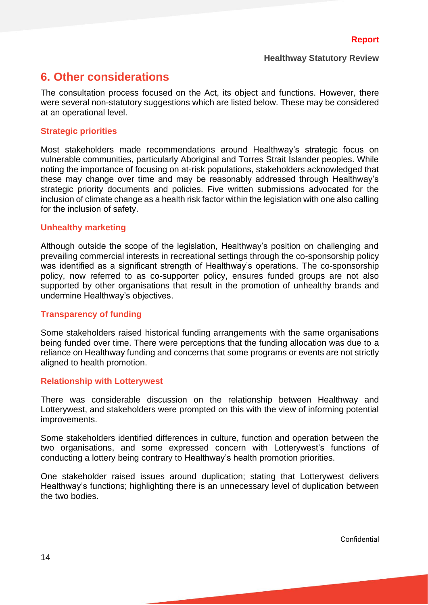### **6. Other considerations**

The consultation process focused on the Act, its object and functions. However, there were several non-statutory suggestions which are listed below. These may be considered at an operational level.

#### <span id="page-13-0"></span>**Strategic priorities**

Most stakeholders made recommendations around Healthway's strategic focus on vulnerable communities, particularly Aboriginal and Torres Strait Islander peoples. While noting the importance of focusing on at-risk populations, stakeholders acknowledged that these may change over time and may be reasonably addressed through Healthway's strategic priority documents and policies. Five written submissions advocated for the inclusion of climate change as a health risk factor within the legislation with one also calling for the inclusion of safety.

#### <span id="page-13-1"></span>**Unhealthy marketing**

Although outside the scope of the legislation, Healthway's position on challenging and prevailing commercial interests in recreational settings through the co-sponsorship policy was identified as a significant strength of Healthway's operations. The co-sponsorship policy, now referred to as co-supporter policy, ensures funded groups are not also supported by other organisations that result in the promotion of unhealthy brands and undermine Healthway's objectives.

#### <span id="page-13-2"></span>**Transparency of funding**

Some stakeholders raised historical funding arrangements with the same organisations being funded over time. There were perceptions that the funding allocation was due to a reliance on Healthway funding and concerns that some programs or events are not strictly aligned to health promotion.

#### <span id="page-13-3"></span>**Relationship with Lotterywest**

There was considerable discussion on the relationship between Healthway and Lotterywest, and stakeholders were prompted on this with the view of informing potential improvements.

Some stakeholders identified differences in culture, function and operation between the two organisations, and some expressed concern with Lotterywest's functions of conducting a lottery being contrary to Healthway's health promotion priorities.

One stakeholder raised issues around duplication; stating that Lotterywest delivers Healthway's functions; highlighting there is an unnecessary level of duplication between the two bodies.